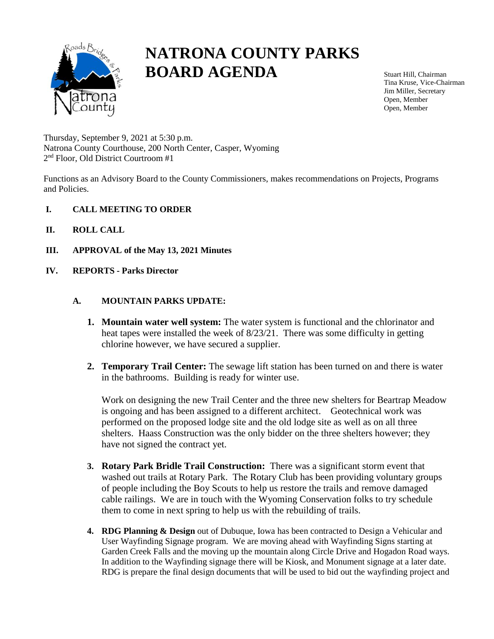

# **NATRONA COUNTY PARKS BOARD AGENDA**

Stuart Hill, Chairman Tina Kruse, Vice-Chairman Jim Miller, Secretary Open, Member Open, Member

Thursday, September 9, 2021 at 5:30 p.m. Natrona County Courthouse, 200 North Center, Casper, Wyoming 2 nd Floor, Old District Courtroom #1

Functions as an Advisory Board to the County Commissioners, makes recommendations on Projects, Programs and Policies.

- **I. CALL MEETING TO ORDER**
- **II. ROLL CALL**
- **III. APPROVAL of the May 13, 2021 Minutes**
- **IV. REPORTS - Parks Director**

#### **A. MOUNTAIN PARKS UPDATE:**

- **1. Mountain water well system:** The water system is functional and the chlorinator and heat tapes were installed the week of 8/23/21. There was some difficulty in getting chlorine however, we have secured a supplier.
- **2. Temporary Trail Center:** The sewage lift station has been turned on and there is water in the bathrooms. Building is ready for winter use.

Work on designing the new Trail Center and the three new shelters for Beartrap Meadow is ongoing and has been assigned to a different architect. Geotechnical work was performed on the proposed lodge site and the old lodge site as well as on all three shelters. Haass Construction was the only bidder on the three shelters however; they have not signed the contract yet.

- **3. Rotary Park Bridle Trail Construction:** There was a significant storm event that washed out trails at Rotary Park. The Rotary Club has been providing voluntary groups of people including the Boy Scouts to help us restore the trails and remove damaged cable railings. We are in touch with the Wyoming Conservation folks to try schedule them to come in next spring to help us with the rebuilding of trails.
- **4. RDG Planning & Design** out of Dubuque, Iowa has been contracted to Design a Vehicular and User Wayfinding Signage program. We are moving ahead with Wayfinding Signs starting at Garden Creek Falls and the moving up the mountain along Circle Drive and Hogadon Road ways. In addition to the Wayfinding signage there will be Kiosk, and Monument signage at a later date. RDG is prepare the final design documents that will be used to bid out the wayfinding project and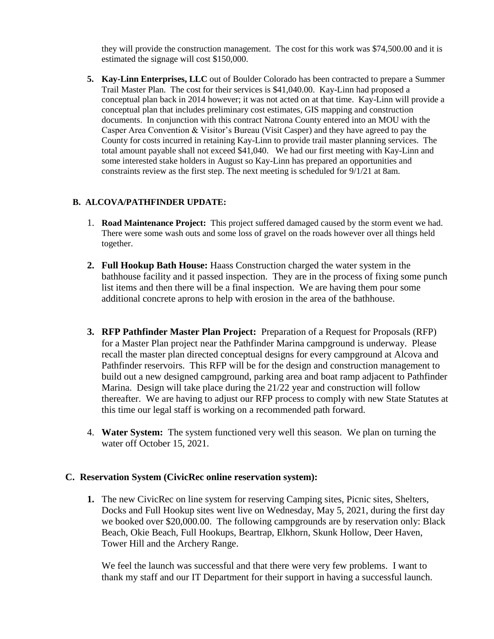they will provide the construction management. The cost for this work was \$74,500.00 and it is estimated the signage will cost \$150,000.

**5. Kay-Linn Enterprises, LLC** out of Boulder Colorado has been contracted to prepare a Summer Trail Master Plan. The cost for their services is \$41,040.00. Kay-Linn had proposed a conceptual plan back in 2014 however; it was not acted on at that time. Kay-Linn will provide a conceptual plan that includes preliminary cost estimates, GIS mapping and construction documents. In conjunction with this contract Natrona County entered into an MOU with the Casper Area Convention & Visitor's Bureau (Visit Casper) and they have agreed to pay the County for costs incurred in retaining Kay-Linn to provide trail master planning services. The total amount payable shall not exceed \$41,040. We had our first meeting with Kay-Linn and some interested stake holders in August so Kay-Linn has prepared an opportunities and constraints review as the first step. The next meeting is scheduled for 9/1/21 at 8am.

## **B. ALCOVA/PATHFINDER UPDATE:**

- 1. **Road Maintenance Project:** This project suffered damaged caused by the storm event we had. There were some wash outs and some loss of gravel on the roads however over all things held together.
- **2. Full Hookup Bath House:** Haass Construction charged the water system in the bathhouse facility and it passed inspection. They are in the process of fixing some punch list items and then there will be a final inspection. We are having them pour some additional concrete aprons to help with erosion in the area of the bathhouse.
- **3. RFP Pathfinder Master Plan Project:** Preparation of a Request for Proposals (RFP) for a Master Plan project near the Pathfinder Marina campground is underway. Please recall the master plan directed conceptual designs for every campground at Alcova and Pathfinder reservoirs. This RFP will be for the design and construction management to build out a new designed campground, parking area and boat ramp adjacent to Pathfinder Marina. Design will take place during the 21/22 year and construction will follow thereafter. We are having to adjust our RFP process to comply with new State Statutes at this time our legal staff is working on a recommended path forward.
- 4. **Water System:** The system functioned very well this season. We plan on turning the water off October 15, 2021.

### **C. Reservation System (CivicRec online reservation system):**

**1.** The new CivicRec on line system for reserving Camping sites, Picnic sites, Shelters, Docks and Full Hookup sites went live on Wednesday, May 5, 2021, during the first day we booked over \$20,000.00. The following campgrounds are by reservation only: Black Beach, Okie Beach, Full Hookups, Beartrap, Elkhorn, Skunk Hollow, Deer Haven, Tower Hill and the Archery Range.

We feel the launch was successful and that there were very few problems. I want to thank my staff and our IT Department for their support in having a successful launch.